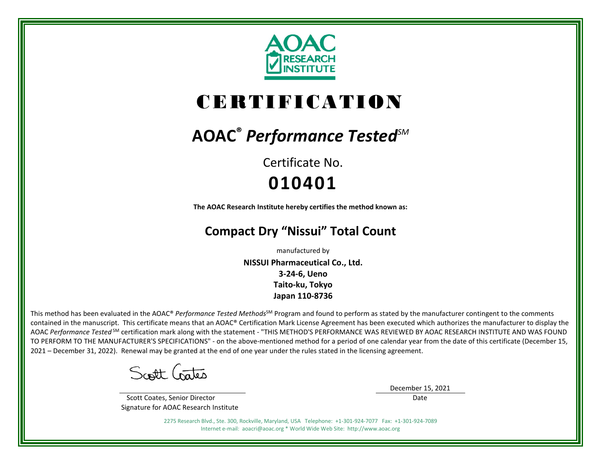

# CERTIFICATION

# **AOAC®** *Performance TestedSM*

Certificate No. **010401**

**The AOAC Research Institute hereby certifies the method known as:**

# **Compact Dry "Nissui" Total Count**

manufactured by

**NISSUI Pharmaceutical Co., Ltd. 3-24-6, Ueno Taito-ku, Tokyo Japan 110-8736**

This method has been evaluated in the AOAC® Performance Tested Methods<sup>SM</sup> Program and found to perform as stated by the manufacturer contingent to the comments contained in the manuscript. This certificate means that an AOAC® Certification Mark License Agreement has been executed which authorizes the manufacturer to display the AOAC *Performance Tested* SM certification mark along with the statement - "THIS METHOD'S PERFORMANCE WAS REVIEWED BY AOAC RESEARCH INSTITUTE AND WAS FOUND TO PERFORM TO THE MANUFACTURER'S SPECIFICATIONS" - on the above-mentioned method for a period of one calendar year from the date of this certificate (December 15, 2021 – December 31, 2022). Renewal may be granted at the end of one year under the rules stated in the licensing agreement.

Scott Crates

 Scott Coates, Senior Director Signature for AOAC Research Institute December 15, 2021

Date

2275 Research Blvd., Ste. 300, Rockville, Maryland, USA Telephone: +1-301-924-7077 Fax: +1-301-924-7089 Internet e-mail: aoacri@aoac.org \* World Wide Web Site: http://www.aoac.org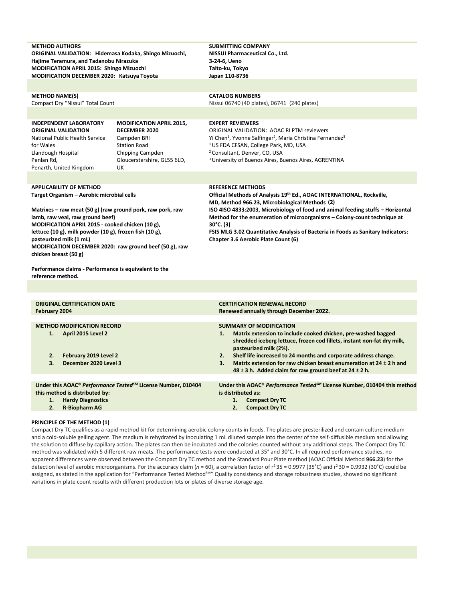| <b>METHOD AUTHORS</b><br>ORIGINAL VALIDATION: Hidemasa Kodaka, Shingo Mizuochi,<br>Hajime Teramura, and Tadanobu Nirazuka<br><b>MODIFICATION APRIL 2015: Shingo Mizuochi</b><br>MODIFICATION DECEMBER 2020: Katsuya Toyota                                                                                                                                                                                                                                                                         |                                                                                                                                                        | <b>SUBMITTING COMPANY</b><br>NISSUI Pharmaceutical Co., Ltd.<br>3-24-6, Ueno<br>Taito-ku, Tokyo<br>Japan 110-8736                                                                                                                                                                                                                                                                                                                                                    |
|----------------------------------------------------------------------------------------------------------------------------------------------------------------------------------------------------------------------------------------------------------------------------------------------------------------------------------------------------------------------------------------------------------------------------------------------------------------------------------------------------|--------------------------------------------------------------------------------------------------------------------------------------------------------|----------------------------------------------------------------------------------------------------------------------------------------------------------------------------------------------------------------------------------------------------------------------------------------------------------------------------------------------------------------------------------------------------------------------------------------------------------------------|
| <b>METHOD NAME(S)</b><br>Compact Dry "Nissui" Total Count                                                                                                                                                                                                                                                                                                                                                                                                                                          |                                                                                                                                                        | <b>CATALOG NUMBERS</b><br>Nissui 06740 (40 plates), 06741 (240 plates)                                                                                                                                                                                                                                                                                                                                                                                               |
| <b>INDEPENDENT LABORATORY</b><br><b>ORIGINAL VALIDATION</b><br>National Public Health Service<br>for Wales<br>Llandough Hospital<br>Penlan Rd,<br>Penarth, United Kingdom                                                                                                                                                                                                                                                                                                                          | <b>MODIFICATION APRIL 2015,</b><br><b>DECEMBER 2020</b><br>Campden BRI<br><b>Station Road</b><br>Chipping Campden<br>Gloucerstershire, GL55 6LD,<br>UK | <b>EXPERT REVIEWERS</b><br><b>ORIGINAL VALIDATION: AOAC RI PTM reviewers</b><br>Yi Chen <sup>1</sup> , Yvonne Salfinger <sup>2</sup> , Maria Christina Fernandez <sup>3</sup><br><sup>1</sup> US FDA CFSAN, College Park, MD, USA<br><sup>2</sup> Consultant, Denver, CO, USA<br><sup>3</sup> University of Buenos Aires, Buenos Aires, AGRENTINA                                                                                                                    |
| <b>APPLICABILITY OF METHOD</b><br>Target Organism - Aerobic microbial cells<br>Matrixes – raw meat (50 g) (raw ground pork, raw pork, raw<br>lamb, raw veal, raw ground beef)<br>MODIFICATION APRIL 2015 - cooked chicken (10 g),<br>lettuce $(10 g)$ , milk powder $(10 g)$ , frozen fish $(10 g)$ ,<br>pasteurized milk (1 mL)<br>MODIFICATION DECEMBER 2020: raw ground beef (50 g), raw<br>chicken breast (50 g)<br>Performance claims - Performance is equivalent to the<br>reference method. |                                                                                                                                                        | <b>REFERENCE METHODS</b><br>Official Methods of Analysis 19th Ed., AOAC INTERNATIONAL, Rockville,<br>MD, Method 966.23, Microbiological Methods (2)<br>ISO 4ISO 4833:2003, Microbiology of food and animal feeding stuffs - Horizontal<br>Method for the enumeration of microorganisms - Colony-count technique at<br>$30^{\circ}$ C. (3)<br>FSIS MLG 3.02 Quantitative Analysis of Bacteria in Foods as Sanitary Indicators:<br>Chapter 3.6 Aerobic Plate Count (6) |
| <b>ORIGINAL CERTIFICATION DATE</b><br>February 2004                                                                                                                                                                                                                                                                                                                                                                                                                                                |                                                                                                                                                        | <b>CERTIFICATION RENEWAL RECORD</b><br>Renewed annually through December 2022.                                                                                                                                                                                                                                                                                                                                                                                       |
| <b>METHOD MODIFICATION RECORD</b><br>April 2015 Level 2<br>1.<br>2.<br>February 2019 Level 2<br>3.<br>December 2020 Level 3                                                                                                                                                                                                                                                                                                                                                                        |                                                                                                                                                        | <b>SUMMARY OF MODIFICATION</b><br>Matrix extension to include cooked chicken, pre-washed bagged<br>1.<br>shredded iceberg lettuce, frozen cod fillets, instant non-fat dry milk,<br>pasteurized milk (2%).<br>Shelf life increased to 24 months and corporate address change.<br>2.<br>Matrix extension for raw chicken breast enumeration at $24 \pm 2$ h and<br>3.<br>48 $\pm$ 3 h. Added claim for raw ground beef at 24 $\pm$ 2 h.                               |
| this method is distributed by:<br>1.<br><b>Hardy Diagnostics</b><br>2.<br>R-Biopharm AG                                                                                                                                                                                                                                                                                                                                                                                                            | Under this AOAC® Performance Tested <sup>5M</sup> License Number, 010404                                                                               | Under this AOAC® Performance Tested <sup>SM</sup> License Number, 010404 this method<br>is distributed as:<br>1.<br><b>Compact Dry TC</b><br><b>Compact Dry TC</b><br>2.                                                                                                                                                                                                                                                                                             |

# **PRINCIPLE OF THE METHOD (1)**

Compact Dry TC qualifies as a rapid method kit for determining aerobic colony counts in foods. The plates are presterilized and contain culture medium and a cold-soluble gelling agent. The medium is rehydrated by inoculating 1 mL diluted sample into the center of the self-diffusible medium and allowing the solution to diffuse by capillary action. The plates can then be incubated and the colonies counted without any additional steps. The Compact Dry TC method was validated with 5 different raw meats. The performance tests were conducted at 35° and 30°C. In all required performance studies, no apparent differences were observed between the Compact Dry TC method and the Standard Pour Plate method (AOAC Official Method **966.23**) for the detection level of aerobic microorganisms. For the accuracy claim ( $n = 60$ ), a correlation factor of  $r^2$  35 = 0.9977 (35°C) and  $r^2$  30 = 0.9932 (30°C) could be assigned, as stated in the application for "Performance Tested Method<sup>SM</sup>" Quality consistency and storage robustness studies, showed no significant variations in plate count results with different production lots or plates of diverse storage age.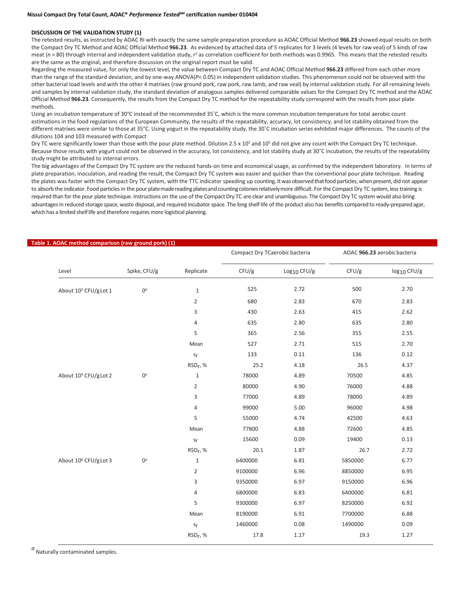### **DISCUSSION OF THE VALIDATION STUDY (1)**

The retested results, as instructed by AOAC RI with exactly the same sample preparation procedure as AOAC Official Method **966.23** showed equal results on both the Compact Dry TC Method and AOAC Official Method **966.23**. As evidenced by attached data of 5 replicates for 3 levels (4 levels for raw veal) of 5 kinds of raw meat ( $n$  = 80) through internal and independent validation study,  $r^2$  as correlation coefficient for both methods was 0.9965. This means that the retested results are the same as the original, and therefore discussion on the original report must be valid.

Regarding the measured value, for only the lowest level, the value between Compact Dry TC and AOAC Official Method **966.23** differed from each other more than the range of the standard deviation, and by one-way ANOVA(*P*< 0.05) in independent validation studies. This phenomenon could not be observed with the other bacterial load levels and with the other 4 matrixes (raw ground pork, raw pork, raw lamb, and raw veal) by internal validation study*.* For all remaining levels and samples by internal validation study, the standard deviation of analogous samples delivered comparable values for the Compact Dry TC method and the AOAC Official Method **966.23**. Consequently, the results from the Compact Dry TC method for the repeatability study correspond with the results from pour plate methods.

Using an incubation temperature of 30°C instead of the recommended 35˚C, which is the more common incubation temperature for total aerobic count estimations in the food regulations of the European Community, the results of the repeatability, accuracy, lot consistency, and lot stability obtained from the different matrixes were similar to those at 35°C. Using yogurt in the repeatability study, the 30˚C incubation series exhibited major differences. The counts of the dilutions 104 and 103 measured with Compact

Dry TC were significantly lower than those with the pour plate method. Dilution 2.5 x 10<sup>2</sup> and 10<sup>2</sup> did not give any count with the Compact Dry TC technique. Because those results with yogurt could not be observed in the accuracy, lot consistency, and lot stability study at 30˚C incubation, the results of the repeatability study might be attributed to internal errors.

The big advantages of the Compact Dry TC system are the reduced hands-on time and economical usage, as confirmed by the independent laboratory. In terms of plate preparation, inoculation, and reading the result, the Compact Dry TC system was easier and quicker than the conventional pour plate technique. Reading the plates was faster with the Compact Dry TC system, with the TTC indicator speeding up counting. It was observed that food particles, when present, did not appear to absorb the indicator. Food particles in the pour platemade reading plates and counting colonies relatively more difficult. For the Compact Dry TC system, less training is required than for the pour plate technique. Instructions on the use of the Compact Dry TC are clear and unambiguous. The Compact Dry TC system would also bring advantages in reduced storage space, waste disposal, and required incubator space. The long shelf life of the product also has benefits compared to ready-prepared agar, which has a limited shelf life and therefore requires more logistical planning.

| e 1. AOAC method comparison (raw ground pork) (1) |                |                      | Compact Dry TCaerobic bacteria |               |         | AOAC 966.23 aerobicbacteria |
|---------------------------------------------------|----------------|----------------------|--------------------------------|---------------|---------|-----------------------------|
| Level                                             | Spike, CFU/g   | Replicate            | CFU/g                          | $Log10$ CFU/g | CFU/g   | log <sub>10</sub> CFU/g     |
| About 10 <sup>2</sup> CFU/gLot 1                  | $0^a$          | $1\,$                | 525                            | 2.72          | 500     | 2.70                        |
|                                                   |                | $\overline{2}$       | 680                            | 2.83          | 670     | 2.83                        |
|                                                   |                | 3                    | 430                            | 2.63          | 415     | 2.62                        |
|                                                   |                | $\sqrt{4}$           | 635                            | 2.80          | 635     | 2.80                        |
|                                                   |                | 5                    | 365                            | 2.56          | 355     | 2.55                        |
|                                                   |                | Mean                 | 527                            | 2.71          | 515     | 2.70                        |
|                                                   |                | s <sub>r</sub>       | 133                            | 0.11          | 136     | 0.12                        |
|                                                   |                | RSD <sub>r</sub> , % | 25.2                           | 4.18          | 26.5    | 4.37                        |
| About 10 <sup>4</sup> CFU/gLot 2                  | 0 <sup>a</sup> | $\mathbf{1}$         | 78000                          | 4.89          | 70500   | 4.85                        |
|                                                   |                | $\overline{2}$       | 80000                          | 4.90          | 76000   | 4.88                        |
|                                                   |                | 3                    | 77000                          | 4.89          | 78000   | 4.89                        |
|                                                   |                | 4                    | 99000                          | 5.00          | 96000   | 4.98                        |
|                                                   |                | 5                    | 55000                          | 4.74          | 42500   | 4.63                        |
|                                                   |                | Mean                 | 77800                          | 4.88          | 72600   | 4.85                        |
|                                                   |                | s <sub>r</sub>       | 15600                          | 0.09          | 19400   | 0.13                        |
|                                                   |                | RSD <sub>r</sub> , % | 20.1                           | 1.87          | 26.7    | 2.72                        |
| About 10 <sup>6</sup> CFU/gLot 3                  | $0^a$          | $\mathbf{1}$         | 6400000                        | 6.81          | 5850000 | 6.77                        |
|                                                   |                | 2                    | 9100000                        | 6.96          | 8850000 | 6.95                        |
|                                                   |                | 3                    | 9350000                        | 6.97          | 9150000 | 6.96                        |
|                                                   |                | 4                    | 6800000                        | 6.83          | 6400000 | 6.81                        |
|                                                   |                | 5                    | 9300000                        | 6.97          | 8250000 | 6.92                        |
|                                                   |                | Mean                 | 8190000                        | 6.91          | 7700000 | 6.88                        |
|                                                   |                | s <sub>r</sub>       | 1460000                        | 0.08          | 1490000 | 0.09                        |
|                                                   |                | RSD <sub>r</sub> , % | 17.8                           | 1.17          | 19.3    | 1.27                        |
|                                                   |                |                      |                                |               |         |                             |

### **Table 1. AOAC method comparison (raw ground pork) (1)**

 $a$ Naturally contaminated samples.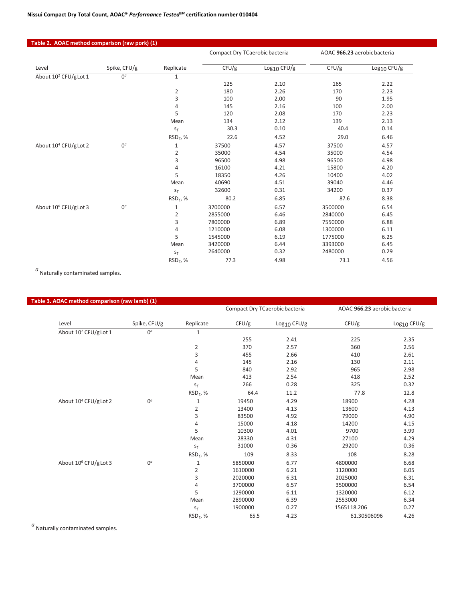| Table 2. AOAC method comparison (raw pork) (1) |                |                      |                                |                         |                              |                         |
|------------------------------------------------|----------------|----------------------|--------------------------------|-------------------------|------------------------------|-------------------------|
|                                                |                |                      | Compact Dry TCaerobic bacteria |                         | AOAC 966.23 aerobic bacteria |                         |
| Level                                          | Spike, CFU/g   | Replicate            | CFU/g                          | Log <sub>10</sub> CFU/g | CFU/g                        | Log <sub>10</sub> CFU/g |
| About 10 <sup>2</sup> CFU/g Lot 1              | 0 <sup>a</sup> | $\mathbf{1}$         |                                |                         |                              |                         |
|                                                |                |                      | 125                            | 2.10                    | 165                          | 2.22                    |
|                                                |                | $\overline{2}$       | 180                            | 2.26                    | 170                          | 2.23                    |
|                                                |                | 3                    | 100                            | 2.00                    | 90                           | 1.95                    |
|                                                |                | $\sqrt{4}$           | 145                            | 2.16                    | 100                          | 2.00                    |
|                                                |                | 5                    | 120                            | 2.08                    | 170                          | 2.23                    |
|                                                |                | Mean                 | 134                            | 2.12                    | 139                          | 2.13                    |
|                                                |                | s <sub>r</sub>       | 30.3                           | 0.10                    | 40.4                         | 0.14                    |
|                                                |                | RSD <sub>r</sub> , % | 22.6                           | 4.52                    | 29.0                         | 6.46                    |
| About 10 <sup>4</sup> CFU/g Lot 2              | $0^a$          | $\mathbf 1$          | 37500                          | 4.57                    | 37500                        | 4.57                    |
|                                                |                | $\overline{2}$       | 35000                          | 4.54                    | 35000                        | 4.54                    |
|                                                |                | 3                    | 96500                          | 4.98                    | 96500                        | 4.98                    |
|                                                |                | $\sqrt{4}$           | 16100                          | 4.21                    | 15800                        | 4.20                    |
|                                                |                | 5                    | 18350                          | 4.26                    | 10400                        | 4.02                    |
|                                                |                | Mean                 | 40690                          | 4.51                    | 39040                        | 4.46                    |
|                                                |                | s <sub>r</sub>       | 32600                          | 0.31                    | 34200                        | 0.37                    |
|                                                |                | RSD <sub>r</sub> , % | 80.2                           | 6.85                    | 87.6                         | 8.38                    |
| About 10 <sup>6</sup> CFU/g Lot 3              | $0^a$          | $\mathbf 1$          | 3700000                        | 6.57                    | 3500000                      | 6.54                    |
|                                                |                | $\overline{c}$       | 2855000                        | 6.46                    | 2840000                      | 6.45                    |
|                                                |                | 3                    | 7800000                        | 6.89                    | 7550000                      | 6.88                    |
|                                                |                | $\sqrt{4}$           | 1210000                        | 6.08                    | 1300000                      | 6.11                    |
|                                                |                | 5                    | 1545000                        | 6.19                    | 1775000                      | 6.25                    |
|                                                |                | Mean                 | 3420000                        | 6.44                    | 3393000                      | 6.45                    |
|                                                |                | s <sub>r</sub>       | 2640000                        | 0.32                    | 2480000                      | 0.29                    |
|                                                |                | RSD <sub>r</sub> , % | 77.3                           | 4.98                    | 73.1                         | 4.56                    |

 $a$ <sub>Naturally contaminated samples.</sub>

| Table 3. AOAC method comparison (raw lamb) (1) |              |                         |                                |               |                              |               |  |
|------------------------------------------------|--------------|-------------------------|--------------------------------|---------------|------------------------------|---------------|--|
|                                                |              |                         | Compact Dry TCaerobic bacteria |               | AOAC 966.23 aerobic bacteria |               |  |
| Level                                          | Spike, CFU/g | Replicate               | CFU/g                          | $Log10$ CFU/g | CFU/g                        | $Log10$ CFU/g |  |
| About 10 <sup>2</sup> CFU/gLot 1               | $0^{\circ}$  | $\mathbf{1}$            |                                |               |                              |               |  |
|                                                |              |                         | 255                            | 2.41          | 225                          | 2.35          |  |
|                                                |              | $\mathbf 2$             | 370                            | 2.57          | 360                          | 2.56          |  |
|                                                |              | $\overline{\mathbf{3}}$ | 455                            | 2.66          | 410                          | 2.61          |  |
|                                                |              | $\sqrt{4}$              | 145                            | 2.16          | 130                          | 2.11          |  |
|                                                |              | 5                       | 840                            | 2.92          | 965                          | 2.98          |  |
|                                                |              | Mean                    | 413                            | 2.54          | 418                          | 2.52          |  |
|                                                |              | s <sub>r</sub>          | 266                            | 0.28          | 325                          | 0.32          |  |
|                                                |              | RSD <sub>r</sub> , %    | 64.4                           | 11.2          | 77.8                         | 12.8          |  |
| About 10 <sup>4</sup> CFU/g Lot 2              | $0^a$        | $1\,$                   | 19450                          | 4.29          | 18900                        | 4.28          |  |
|                                                |              | $\overline{2}$          | 13400                          | 4.13          | 13600                        | 4.13          |  |
|                                                |              | $\mathsf 3$             | 83500                          | 4.92          | 79000                        | 4.90          |  |
|                                                |              | $\sqrt{4}$              | 15000                          | 4.18          | 14200                        | 4.15          |  |
|                                                |              | 5                       | 10300                          | 4.01          | 9700                         | 3.99          |  |
|                                                |              | Mean                    | 28330                          | 4.31          | 27100                        | 4.29          |  |
|                                                |              | s <sub>r</sub>          | 31000                          | 0.36          | 29200                        | 0.36          |  |
|                                                |              | RSD <sub>r</sub> , %    | 109                            | 8.33          | 108                          | 8.28          |  |
| About 10 <sup>6</sup> CFU/g Lot 3              | $0^a$        | $1\,$                   | 5850000                        | 6.77          | 4800000                      | 6.68          |  |
|                                                |              | $\mathbf 2$             | 1610000                        | 6.21          | 1120000                      | 6.05          |  |
|                                                |              | $\mathsf 3$             | 2020000                        | 6.31          | 2025000                      | 6.31          |  |
|                                                |              | $\sqrt{4}$              | 3700000                        | 6.57          | 3500000                      | 6.54          |  |
|                                                |              | 5                       | 1290000                        | 6.11          | 1320000                      | 6.12          |  |
|                                                |              | Mean                    | 2890000                        | 6.39          | 2553000                      | 6.34          |  |
|                                                |              | s <sub>r</sub>          | 1900000                        | 0.27          | 1565118.206                  | 0.27          |  |
|                                                |              | RSD <sub>r</sub> , %    | 65.5                           | 4.23          | 61.30506096                  | 4.26          |  |

*a*<br>Naturally contaminated samples.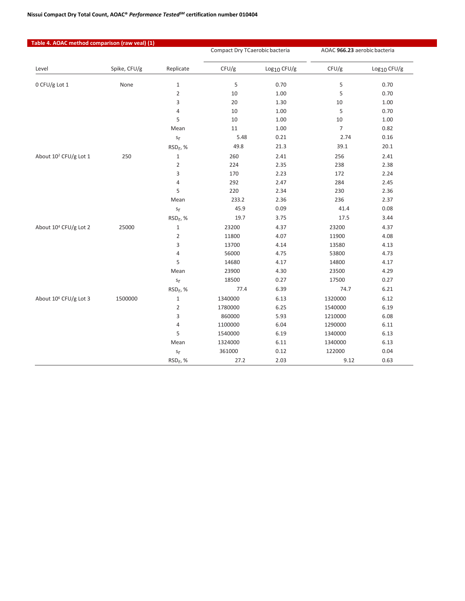# **Nissui Compact Dry Total Count, AOAC®** *Performance TestedSM* **certification number 010404**

| Table 4. AOAC method comparison (raw veal) (1) |              |                         | Compact Dry TCaerobic bacteria |                         | AOAC 966.23 aerobic bacteria |                         |
|------------------------------------------------|--------------|-------------------------|--------------------------------|-------------------------|------------------------------|-------------------------|
| Level                                          | Spike, CFU/g | Replicate               | CFU/g                          | Log <sub>10</sub> CFU/g | CFU/g                        | Log <sub>10</sub> CFU/g |
| 0 CFU/g Lot 1                                  | None         | $\mathbf 1$             | 5                              | 0.70                    | 5                            | 0.70                    |
|                                                |              | $\overline{2}$          | 10                             | 1.00                    | 5                            | 0.70                    |
|                                                |              | 3                       | 20                             | 1.30                    | 10                           | 1.00                    |
|                                                |              | 4                       | 10                             | 1.00                    | 5                            | 0.70                    |
|                                                |              | 5                       | 10                             | 1.00                    | 10                           | 1.00                    |
|                                                |              | Mean                    | 11                             | 1.00                    | $\overline{7}$               | 0.82                    |
|                                                |              | $\mathsf{S}_\Gamma$     | 5.48                           | 0.21                    | 2.74                         | 0.16                    |
|                                                |              | RSD <sub>r</sub> , %    | 49.8                           | 21.3                    | 39.1                         | 20.1                    |
| About 10 <sup>2</sup> CFU/g Lot 1              | 250          | $\mathbf 1$             | 260                            | 2.41                    | 256                          | 2.41                    |
|                                                |              | $\overline{2}$          | 224                            | 2.35                    | 238                          | 2.38                    |
|                                                |              | 3                       | 170                            | 2.23                    | 172                          | 2.24                    |
|                                                |              | 4                       | 292                            | 2.47                    | 284                          | 2.45                    |
|                                                |              | 5                       | 220                            | 2.34                    | 230                          | 2.36                    |
|                                                |              | Mean                    | 233.2                          | 2.36                    | 236                          | 2.37                    |
|                                                |              | $\mathsf{s}_\mathsf{f}$ | 45.9                           | 0.09                    | 41.4                         | 0.08                    |
|                                                |              | RSD <sub>r</sub> , %    | 19.7                           | 3.75                    | 17.5                         | 3.44                    |
| About 10 <sup>4</sup> CFU/g Lot 2              | 25000        | $\mathbf{1}$            | 23200                          | 4.37                    | 23200                        | 4.37                    |
|                                                |              | $\overline{2}$          | 11800                          | 4.07                    | 11900                        | 4.08                    |
|                                                |              | 3                       | 13700                          | 4.14                    | 13580                        | 4.13                    |
|                                                |              | 4                       | 56000                          | 4.75                    | 53800                        | 4.73                    |
|                                                |              | 5                       | 14680                          | 4.17                    | 14800                        | 4.17                    |
|                                                |              | Mean                    | 23900                          | 4.30                    | 23500                        | 4.29                    |
|                                                |              | s <sub>r</sub>          | 18500                          | 0.27                    | 17500                        | 0.27                    |
|                                                |              | RSD <sub>r</sub> , %    | 77.4                           | 6.39                    | 74.7                         | 6.21                    |
| About 10 <sup>6</sup> CFU/g Lot 3              | 1500000      | $\mathbf{1}$            | 1340000                        | 6.13                    | 1320000                      | 6.12                    |
|                                                |              | $\overline{2}$          | 1780000                        | 6.25                    | 1540000                      | 6.19                    |
|                                                |              | 3                       | 860000                         | 5.93                    | 1210000                      | 6.08                    |
|                                                |              | $\sqrt{4}$              | 1100000                        | 6.04                    | 1290000                      | 6.11                    |
|                                                |              | 5                       | 1540000                        | 6.19                    | 1340000                      | 6.13                    |
|                                                |              | Mean                    | 1324000                        | 6.11                    | 1340000                      | 6.13                    |
|                                                |              | s <sub>r</sub>          | 361000                         | 0.12                    | 122000                       | 0.04                    |
|                                                |              | $RSDr$ , %              | 27.2                           | 2.03                    | 9.12                         | 0.63                    |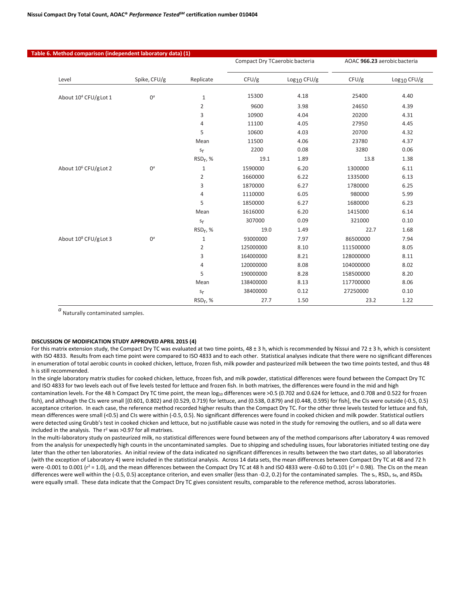г

|                                   |              |                          | Compact Dry TCaerobic bacteria |               | AOAC 966.23 aerobic bacteria |               |
|-----------------------------------|--------------|--------------------------|--------------------------------|---------------|------------------------------|---------------|
| Level                             | Spike, CFU/g | Replicate                | CFU/g                          | $Log10$ CFU/g | CFU/g                        | $Log10$ CFU/g |
| About 10 <sup>4</sup> CFU/g Lot 1 | $0^a$        | $\mathbf 1$              | 15300                          | 4.18          | 25400                        | 4.40          |
|                                   |              | $\overline{2}$           | 9600                           | 3.98          | 24650                        | 4.39          |
|                                   |              | 3                        | 10900                          | 4.04          | 20200                        | 4.31          |
|                                   |              | 4                        | 11100                          | 4.05          | 27950                        | 4.45          |
|                                   |              | 5                        | 10600                          | 4.03          | 20700                        | 4.32          |
|                                   |              | Mean                     | 11500                          | 4.06          | 23780                        | 4.37          |
|                                   |              | s <sub>r</sub>           | 2200                           | 0.08          | 3280                         | 0.06          |
|                                   |              | RSD <sub>r</sub> , %     | 19.1                           | 1.89          | 13.8                         | 1.38          |
| About 10 <sup>6</sup> CFU/g Lot 2 | $0^a$        | $\,1\,$                  | 1590000                        | 6.20          | 1300000                      | 6.11          |
|                                   |              | $\overline{2}$           | 1660000                        | 6.22          | 1335000                      | 6.13          |
|                                   |              | 3                        | 1870000                        | 6.27          | 1780000                      | 6.25          |
|                                   |              | $\overline{\mathcal{L}}$ | 1110000                        | 6.05          | 980000                       | 5.99          |
|                                   |              | 5                        | 1850000                        | 6.27          | 1680000                      | 6.23          |
|                                   |              | Mean                     | 1616000                        | 6.20          | 1415000                      | 6.14          |
|                                   |              | s <sub>r</sub>           | 307000                         | 0.09          | 321000                       | 0.10          |
|                                   |              | RSD <sub>r</sub> , %     | 19.0                           | 1.49          | 22.7                         | 1.68          |
| About 10 <sup>8</sup> CFU/g Lot 3 | $0^a$        | $\mathbf 1$              | 93000000                       | 7.97          | 86500000                     | 7.94          |
|                                   |              | $\overline{2}$           | 125000000                      | 8.10          | 111500000                    | 8.05          |
|                                   |              | 3                        | 164000000                      | 8.21          | 128000000                    | 8.11          |
|                                   |              | $\overline{4}$           | 120000000                      | 8.08          | 104000000                    | 8.02          |
|                                   |              | 5                        | 190000000                      | 8.28          | 158500000                    | 8.20          |
|                                   |              | Mean                     | 138400000                      | 8.13          | 117700000                    | 8.06          |
|                                   |              | s <sub>r</sub>           | 38400000                       | 0.12          | 27250000                     | 0.10          |
|                                   |              | RSD <sub>r</sub> , %     | 27.7                           | 1.50          | 23.2                         | 1.22          |

 $a$ Naturally contaminated samples.

#### **DISCUSSION OF MODIFICATION STUDY APPROVED APRIL 2015 (4)**

For this matrix extension study, the Compact Dry TC was evaluated at two time points,  $48 \pm 3$  h, which is recommended by Nissui and 72  $\pm$  3 h, which is consistent with ISO 4833. Results from each time point were compared to ISO 4833 and to each other. Statistical analyses indicate that there were no significant differences in enumeration of total aerobic counts in cooked chicken, lettuce, frozen fish, milk powder and pasteurized milk between the two time points tested, and thus 48 h is still recommended.

In the single laboratory matrix studies for cooked chicken, lettuce, frozen fish, and milk powder, statistical differences were found between the Compact Dry TC and ISO 4833 for two levels each out of five levels tested for lettuce and frozen fish. In both matrixes, the differences were found in the mid and high contamination levels. For the 48 h Compact Dry TC time point, the mean log10 differences were >0.5 (0.702 and 0.624 for lettuce, and 0.708 and 0.522 for frozen fish), and although the CIs were small [(0.601, 0.802) and (0.529, 0.719) for lettuce, and (0.538, 0.879) and (0.448, 0.595) for fish], the CIs were outside (-0.5, 0.5) acceptance criterion. In each case, the reference method recorded higher results than the Compact Dry TC. For the other three levels tested for lettuce and fish, mean differences were small (<0.5) and CIs were within (-0.5, 0.5). No significant differences were found in cooked chicken and milk powder. Statistical outliers were detected using Grubb's test in cooked chicken and lettuce, but no justifiable cause was noted in the study for removing the outliers, and so all data were included in the analysis. The  $r^2$  was >0.97 for all matrixes.

In the multi-laboratory study on pasteurized milk, no statistical differences were found between any of the method comparisons after Laboratory 4 was removed from the analysis for unexpectedly high counts in the uncontaminated samples. Due to shipping and scheduling issues, four laboratories initiated testing one day later than the other ten laboratories. An initial review of the data indicated no significant differences in results between the two start dates, so all laboratories (with the exception of Laboratory 4) were included in the statistical analysis. Across 14 data sets, the mean differences between Compact Dry TC at 48 and 72 h were -0.001 to 0.001 ( $r^2$  = 1.0), and the mean differences between the Compact Dry TC at 48 h and ISO 4833 were -0.60 to 0.101 ( $r^2$  = 0.98). The CIs on the mean differences were well within the (-0.5, 0.5) acceptance criterion, and even smaller (less than -0.2, 0.2) for the contaminated samples. The  $s_r$ , RSD $r$ ,  $s_R$ , and RSD<sub>R</sub> were equally small. These data indicate that the Compact Dry TC gives consistent results, comparable to the reference method, across laboratories.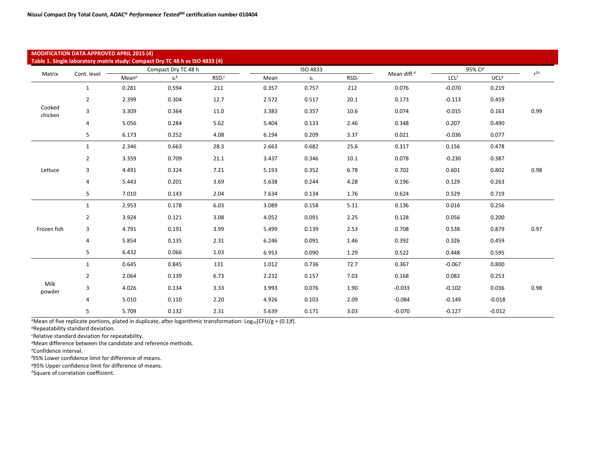|                   | <b>MODIFICATION DATA APPROVED APRIL 2015 (4)</b> |                   | Table 1. Single laboratory matrix study: Compact Dry TC 48 h vs ISO 4833 (4) |                    |       |                 |                  |                |          |                     |          |
|-------------------|--------------------------------------------------|-------------------|------------------------------------------------------------------------------|--------------------|-------|-----------------|------------------|----------------|----------|---------------------|----------|
|                   |                                                  |                   | Compact Dry TC 48 h                                                          |                    |       | <b>ISO 4833</b> |                  |                |          | 95% Cl <sup>e</sup> |          |
| Matrix            | Cont. level                                      | Mean <sup>a</sup> | $S_r^b$                                                                      | RSD <sub>r</sub> c | Mean  | $S_r$           | RSD <sub>r</sub> | Mean diff. $d$ | LCL      | UCL <sup>g</sup>    | $r^{2h}$ |
|                   | $\mathbf{1}$                                     | 0.281             | 0.594                                                                        | 211                | 0.357 | 0.757           | 212              | 0.076          | $-0.070$ | 0.219               |          |
|                   | $\overline{2}$                                   | 2.399             | 0.304                                                                        | 12.7               | 2.572 | 0.517           | 20.1             | 0.173          | $-0.113$ | 0.459               |          |
| Cooked<br>chicken | 3                                                | 3.309             | 0.364                                                                        | 11.0               | 3.383 | 0.357           | 10.6             | 0.074          | $-0.015$ | 0.163               | 0.99     |
|                   | 4                                                | 5.056             | 0.284                                                                        | 5.62               | 5.404 | 0.133           | 2.46             | 0.348          | 0.207    | 0.490               |          |
|                   | 5                                                | 6.173             | 0.252                                                                        | 4.08               | 6.194 | 0.209           | 3.37             | 0.021          | $-0.036$ | 0.077               |          |
|                   | $\mathbf{1}$                                     | 2.346             | 0.663                                                                        | 28.3               | 2.663 | 0.682           | 25.6             | 0.317          | 0.156    | 0.478               |          |
|                   | $\overline{2}$                                   | 3.359             | 0.709                                                                        | 21.1               | 3.437 | 0.346           | 10.1             | 0.078          | $-0.230$ | 0.387               |          |
| Lettuce           | 3                                                | 4.491             | 0.324                                                                        | 7.21               | 5.193 | 0.352           | 6.78             | 0.702          | 0.601    | 0.802               | 0.98     |
|                   | 4                                                | 5.443             | 0.201                                                                        | 3.69               | 5.638 | 0.244           | 4.28             | 0.196          | 0.129    | 0.263               |          |
|                   | 5                                                | 7.010             | 0.143                                                                        | 2.04               | 7.634 | 0.134           | 1.76             | 0.624          | 0.529    | 0.719               |          |
|                   | $\mathbf{1}$                                     | 2.953             | 0.178                                                                        | 6.03               | 3.089 | 0.158           | 5.11             | 0.136          | 0.016    | 0.256               |          |
|                   | $\overline{2}$                                   | 3.924             | 0.121                                                                        | 3.08               | 4.052 | 0.091           | 2.25             | 0.128          | 0.056    | 0.200               |          |
| Frozen fish       | 3                                                | 4.791             | 0.191                                                                        | 3.99               | 5.499 | 0.139           | 2.53             | 0.708          | 0.538    | 0.879               | 0.97     |
|                   | 4                                                | 5.854             | 0.135                                                                        | 2.31               | 6.246 | 0.091           | 1.46             | 0.392          | 0.326    | 0.459               |          |
|                   | 5                                                | 6.432             | 0.066                                                                        | 1.03               | 6.953 | 0.090           | 1.29             | 0.522          | 0.448    | 0.595               |          |
|                   | $\mathbf{1}$                                     | 0.645             | 0.845                                                                        | 131                | 1.012 | 0.736           | 72.7             | 0.367          | $-0.067$ | 0.800               |          |
|                   | $\overline{2}$                                   | 2.064             | 0.139                                                                        | 6.73               | 2.232 | 0.157           | 7.03             | 0.168          | 0.082    | 0.253               |          |
| Milk<br>powder    | 3                                                | 4.026             | 0.134                                                                        | 3.33               | 3.993 | 0.076           | 1.90             | $-0.033$       | $-0.102$ | 0.036               | 0.98     |
|                   | 4                                                | 5.010             | 0.110                                                                        | 2.20               | 4.926 | 0.103           | 2.09             | $-0.084$       | $-0.149$ | $-0.018$            |          |
|                   | 5                                                | 5.709             | 0.132                                                                        | 2.31               | 5.639 | 0.171           | 3.03             | $-0.070$       | $-0.127$ | $-0.012$            |          |

<sup>a</sup>Mean of five replicate portions, plated in duplicate, after logarithmic transformation: Log<sub>10</sub>[CFU/g + (0.1)f].

*<sup>b</sup>*Repeatability standard deviation.

*c* Relative standard deviation for repeatability.

*<sup>d</sup>*Mean difference between the candidate and reference methods.

*e* Confidence interval.

*f* 95% Lower confidence limit for difference of means.

*<sup>g</sup>*95% Upper confidence limit for difference of means.

*h*Square of correlation coefficient.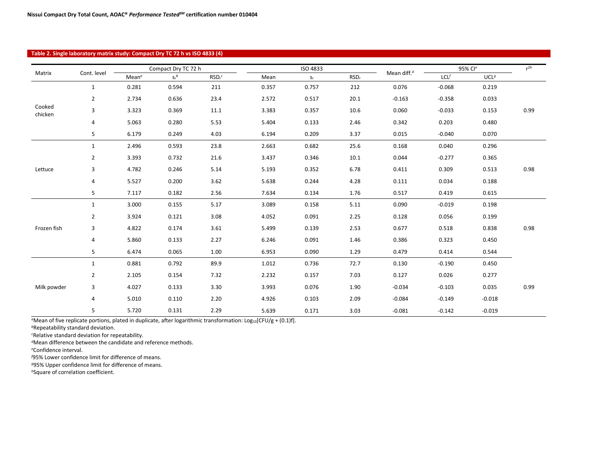#### **Table 2. Single laboratory matrix study: Compact Dry TC 72 h vs ISO 4833 (4)**

|                   |                |                   | Compact Dry TC 72 h |                    |       | ISO 4833 |                  |                         |          | 95% Cle          | $r^{2h}$ |
|-------------------|----------------|-------------------|---------------------|--------------------|-------|----------|------------------|-------------------------|----------|------------------|----------|
| Matrix            | Cont. level    | Mean <sup>o</sup> | $S_r^b$             | RSD <sub>r</sub> c | Mean  | $S_r$    | RSD <sub>r</sub> | Mean diff. <sup>d</sup> | LCL      | UCL <sup>g</sup> |          |
|                   | $\mathbf{1}$   | 0.281             | 0.594               | 211                | 0.357 | 0.757    | 212              | 0.076                   | $-0.068$ | 0.219            |          |
|                   | $\overline{2}$ | 2.734             | 0.636               | 23.4               | 2.572 | 0.517    | 20.1             | $-0.163$                | $-0.358$ | 0.033            |          |
| Cooked<br>chicken | 3              | 3.323             | 0.369               | 11.1               | 3.383 | 0.357    | 10.6             | 0.060                   | $-0.033$ | 0.153            | 0.99     |
|                   | 4              | 5.063             | 0.280               | 5.53               | 5.404 | 0.133    | 2.46             | 0.342                   | 0.203    | 0.480            |          |
|                   | 5              | 6.179             | 0.249               | 4.03               | 6.194 | 0.209    | 3.37             | 0.015                   | $-0.040$ | 0.070            |          |
|                   | $\mathbf{1}$   | 2.496             | 0.593               | 23.8               | 2.663 | 0.682    | 25.6             | 0.168                   | 0.040    | 0.296            |          |
|                   | $\overline{2}$ | 3.393             | 0.732               | 21.6               | 3.437 | 0.346    | 10.1             | 0.044                   | $-0.277$ | 0.365            |          |
| Lettuce           | 3              | 4.782             | 0.246               | 5.14               | 5.193 | 0.352    | 6.78             | 0.411                   | 0.309    | 0.513            | 0.98     |
|                   | 4              | 5.527             | 0.200               | 3.62               | 5.638 | 0.244    | 4.28             | 0.111                   | 0.034    | 0.188            |          |
|                   | 5              | 7.117             | 0.182               | 2.56               | 7.634 | 0.134    | 1.76             | 0.517                   | 0.419    | 0.615            |          |
|                   | $\mathbf{1}$   | 3.000             | 0.155               | 5.17               | 3.089 | 0.158    | 5.11             | 0.090                   | $-0.019$ | 0.198            |          |
|                   | 2              | 3.924             | 0.121               | 3.08               | 4.052 | 0.091    | 2.25             | 0.128                   | 0.056    | 0.199            |          |
| Frozen fish       | 3              | 4.822             | 0.174               | 3.61               | 5.499 | 0.139    | 2.53             | 0.677                   | 0.518    | 0.838            | 0.98     |
|                   | 4              | 5.860             | 0.133               | 2.27               | 6.246 | 0.091    | 1.46             | 0.386                   | 0.323    | 0.450            |          |
|                   | 5              | 6.474             | 0.065               | 1.00               | 6.953 | 0.090    | 1.29             | 0.479                   | 0.414    | 0.544            |          |
|                   | $\mathbf{1}$   | 0.881             | 0.792               | 89.9               | 1.012 | 0.736    | 72.7             | 0.130                   | $-0.190$ | 0.450            |          |
|                   | $\overline{2}$ | 2.105             | 0.154               | 7.32               | 2.232 | 0.157    | 7.03             | 0.127                   | 0.026    | 0.277            |          |
| Milk powder       | 3              | 4.027             | 0.133               | 3.30               | 3.993 | 0.076    | 1.90             | $-0.034$                | $-0.103$ | 0.035            | 0.99     |
|                   | 4              | 5.010             | 0.110               | 2.20               | 4.926 | 0.103    | 2.09             | $-0.084$                | $-0.149$ | $-0.018$         |          |
|                   | 5              | 5.720             | 0.131               | 2.29               | 5.639 | 0.171    | 3.03             | $-0.081$                | $-0.142$ | $-0.019$         |          |

<sup>a</sup>Mean of five replicate portions, plated in duplicate, after logarithmic transformation: Log<sub>10</sub>[CFU/g + (0.1)f].

*<sup>b</sup>*Repeatability standard deviation.

*c* Relative standard deviation for repeatability.

*<sup>d</sup>*Mean difference between the candidate and reference methods.

*e* Confidence interval.

*f* 95% Lower confidence limit for difference of means.

*<sup>g</sup>*95% Upper confidence limit for difference of means.

*h*Square of correlation coefficient.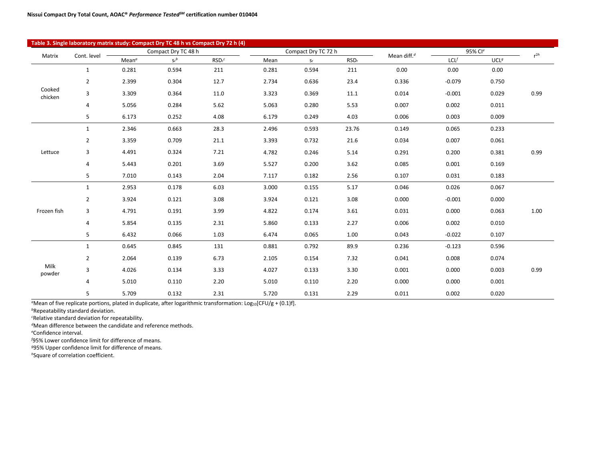|                   |                |                   |                     | Table 3. Single laboratory matrix study: Compact Dry TC 48 h vs Compact Dry 72 h (4) |       |                     |                  |                |          |                  |          |
|-------------------|----------------|-------------------|---------------------|--------------------------------------------------------------------------------------|-------|---------------------|------------------|----------------|----------|------------------|----------|
| Matrix            | Cont. level    |                   | Compact Dry TC 48 h |                                                                                      |       | Compact Dry TC 72 h |                  | Mean diff. $d$ |          | 95% Cle          | $r^{2h}$ |
|                   |                | Mean <sup>a</sup> | $S_r^b$             | RSD <sub>c</sub>                                                                     | Mean  | $S_r$               | RSD <sub>r</sub> |                | LCL      | UCL <sup>g</sup> |          |
|                   | $\mathbf{1}$   | 0.281             | 0.594               | 211                                                                                  | 0.281 | 0.594               | 211              | 0.00           | 0.00     | 0.00             |          |
|                   | $\overline{2}$ | 2.399             | 0.304               | 12.7                                                                                 | 2.734 | 0.636               | 23.4             | 0.336          | $-0.079$ | 0.750            |          |
| Cooked<br>chicken | 3              | 3.309             | 0.364               | 11.0                                                                                 | 3.323 | 0.369               | 11.1             | 0.014          | $-0.001$ | 0.029            | 0.99     |
|                   | 4              | 5.056             | 0.284               | 5.62                                                                                 | 5.063 | 0.280               | 5.53             | 0.007          | 0.002    | 0.011            |          |
|                   | 5              | 6.173             | 0.252               | 4.08                                                                                 | 6.179 | 0.249               | 4.03             | 0.006          | 0.003    | 0.009            |          |
|                   | $\mathbf{1}$   | 2.346             | 0.663               | 28.3                                                                                 | 2.496 | 0.593               | 23.76            | 0.149          | 0.065    | 0.233            |          |
|                   | $\overline{2}$ | 3.359             | 0.709               | 21.1                                                                                 | 3.393 | 0.732               | 21.6             | 0.034          | 0.007    | 0.061            |          |
| Lettuce           | 3              | 4.491             | 0.324               | 7.21                                                                                 | 4.782 | 0.246               | 5.14             | 0.291          | 0.200    | 0.381            | 0.99     |
|                   | $\overline{a}$ | 5.443             | 0.201               | 3.69                                                                                 | 5.527 | 0.200               | 3.62             | 0.085          | 0.001    | 0.169            |          |
|                   | 5              | 7.010             | 0.143               | 2.04                                                                                 | 7.117 | 0.182               | 2.56             | 0.107          | 0.031    | 0.183            |          |
|                   | $\mathbf{1}$   | 2.953             | 0.178               | 6.03                                                                                 | 3.000 | 0.155               | 5.17             | 0.046          | 0.026    | 0.067            |          |
|                   | $\overline{2}$ | 3.924             | 0.121               | 3.08                                                                                 | 3.924 | 0.121               | 3.08             | 0.000          | $-0.001$ | 0.000            |          |
| Frozen fish       | 3              | 4.791             | 0.191               | 3.99                                                                                 | 4.822 | 0.174               | 3.61             | 0.031          | 0.000    | 0.063            | 1.00     |
|                   | $\overline{a}$ | 5.854             | 0.135               | 2.31                                                                                 | 5.860 | 0.133               | 2.27             | 0.006          | 0.002    | 0.010            |          |
|                   | 5              | 6.432             | 0.066               | 1.03                                                                                 | 6.474 | 0.065               | 1.00             | 0.043          | $-0.022$ | 0.107            |          |
|                   | $\mathbf{1}$   | 0.645             | 0.845               | 131                                                                                  | 0.881 | 0.792               | 89.9             | 0.236          | $-0.123$ | 0.596            |          |
|                   | $\overline{2}$ | 2.064             | 0.139               | 6.73                                                                                 | 2.105 | 0.154               | 7.32             | 0.041          | 0.008    | 0.074            |          |
| Milk<br>powder    | 3              | 4.026             | 0.134               | 3.33                                                                                 | 4.027 | 0.133               | 3.30             | 0.001          | 0.000    | 0.003            | 0.99     |
|                   | 4              | 5.010             | 0.110               | 2.20                                                                                 | 5.010 | 0.110               | 2.20             | 0.000          | 0.000    | 0.001            |          |
|                   | 5              | 5.709             | 0.132               | 2.31                                                                                 | 5.720 | 0.131               | 2.29             | 0.011          | 0.002    | 0.020            |          |

<sup>a</sup>Mean of five replicate portions, plated in duplicate, after logarithmic transformation: Log<sub>10</sub>[CFU/g + (0.1)f].

*<sup>b</sup>*Repeatability standard deviation.

*c* Relative standard deviation for repeatability.

*<sup>d</sup>*Mean difference between the candidate and reference methods.

*e* Confidence interval.

 $\overline{\phantom{a}}$ 

*f* 95% Lower confidence limit for difference of means.

*<sup>g</sup>*95% Upper confidence limit for difference of means.

*h*Square of correlation coefficient.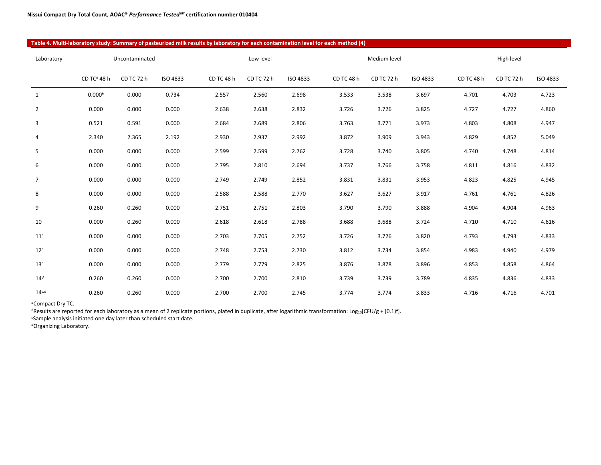## **Table 4. Multi-laboratory study: Summary of pasteurized milk results by laboratory for each contamination level for each method (4)**

| Laboratory      |                                      | Uncontaminated |          |            | Low level  |          |            | Medium level |          |            | High level |                 |
|-----------------|--------------------------------------|----------------|----------|------------|------------|----------|------------|--------------|----------|------------|------------|-----------------|
|                 | CD TC <sup><math>a</math></sup> 48 h | CD TC 72 h     | ISO 4833 | CD TC 48 h | CD TC 72 h | ISO 4833 | CD TC 48 h | CD TC 72 h   | ISO 4833 | CD TC 48 h | CD TC 72 h | <b>ISO 4833</b> |
| $\mathbf{1}$    | 0.000 <sup>b</sup>                   | 0.000          | 0.734    | 2.557      | 2.560      | 2.698    | 3.533      | 3.538        | 3.697    | 4.701      | 4.703      | 4.723           |
| $\overline{2}$  | 0.000                                | 0.000          | 0.000    | 2.638      | 2.638      | 2.832    | 3.726      | 3.726        | 3.825    | 4.727      | 4.727      | 4.860           |
| 3               | 0.521                                | 0.591          | 0.000    | 2.684      | 2.689      | 2.806    | 3.763      | 3.771        | 3.973    | 4.803      | 4.808      | 4.947           |
| 4               | 2.340                                | 2.365          | 2.192    | 2.930      | 2.937      | 2.992    | 3.872      | 3.909        | 3.943    | 4.829      | 4.852      | 5.049           |
| 5               | 0.000                                | 0.000          | 0.000    | 2.599      | 2.599      | 2.762    | 3.728      | 3.740        | 3.805    | 4.740      | 4.748      | 4.814           |
| 6               | 0.000                                | 0.000          | 0.000    | 2.795      | 2.810      | 2.694    | 3.737      | 3.766        | 3.758    | 4.811      | 4.816      | 4.832           |
| $\overline{7}$  | 0.000                                | 0.000          | 0.000    | 2.749      | 2.749      | 2.852    | 3.831      | 3.831        | 3.953    | 4.823      | 4.825      | 4.945           |
| 8               | 0.000                                | 0.000          | 0.000    | 2.588      | 2.588      | 2.770    | 3.627      | 3.627        | 3.917    | 4.761      | 4.761      | 4.826           |
| 9               | 0.260                                | 0.260          | 0.000    | 2.751      | 2.751      | 2.803    | 3.790      | 3.790        | 3.888    | 4.904      | 4.904      | 4.963           |
| 10              | 0.000                                | 0.260          | 0.000    | 2.618      | 2.618      | 2.788    | 3.688      | 3.688        | 3.724    | 4.710      | 4.710      | 4.616           |
| 11 <sup>c</sup> | 0.000                                | 0.000          | 0.000    | 2.703      | 2.705      | 2.752    | 3.726      | 3.726        | 3.820    | 4.793      | 4.793      | 4.833           |
| 12 <sup>c</sup> | 0.000                                | 0.000          | 0.000    | 2.748      | 2.753      | 2.730    | 3.812      | 3.734        | 3.854    | 4.983      | 4.940      | 4.979           |
| 13 <sup>c</sup> | 0.000                                | 0.000          | 0.000    | 2.779      | 2.779      | 2.825    | 3.876      | 3.878        | 3.896    | 4.853      | 4.858      | 4.864           |
| 14 <sup>d</sup> | 0.260                                | 0.260          | 0.000    | 2.700      | 2.700      | 2.810    | 3.739      | 3.739        | 3.789    | 4.835      | 4.836      | 4.833           |
| $14^{c,d}$      | 0.260                                | 0.260          | 0.000    | 2.700      | 2.700      | 2.745    | 3.774      | 3.774        | 3.833    | 4.716      | 4.716      | 4.701           |

*<sup>a</sup>*Compact Dry TC.

*b*Results are reported for each laboratory as a mean of 2 replicate portions, plated in duplicate, after logarithmic transformation: Log10[CFU/g + (0.1)f].

*c* Sample analysis initiated one day later than scheduled start date.

*d*Organizing Laboratory.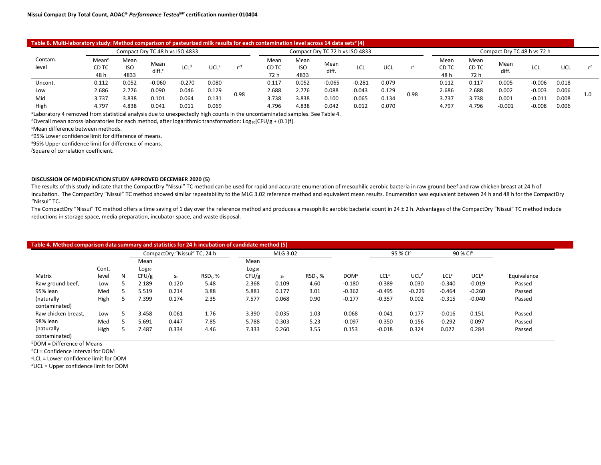| Table 6. Multi-laboratory study: Method comparison of pasteurized milk results for each contamination level across 14 data sets <sup><i>a</i></sup> (4) |                                    |                     |                                 |                  |            |                 |                       |                            |                                 |          |       |      |                       |                       |               |                             |       |     |
|---------------------------------------------------------------------------------------------------------------------------------------------------------|------------------------------------|---------------------|---------------------------------|------------------|------------|-----------------|-----------------------|----------------------------|---------------------------------|----------|-------|------|-----------------------|-----------------------|---------------|-----------------------------|-------|-----|
|                                                                                                                                                         |                                    |                     | Compact Dry TC 48 h vs ISO 4833 |                  |            |                 |                       |                            | Compact Dry TC 72 h vs ISO 4833 |          |       |      |                       |                       |               | Compact Dry TC 48 h vs 72 h |       |     |
| Contam.<br>level                                                                                                                                        | Mean <sup>b</sup><br>CD TC<br>48 h | Mean<br>iso<br>4833 | Mean<br>diff. $\epsilon$        | LCL <sup>d</sup> | <b>UCL</b> | r <sup>2f</sup> | Mean<br>CD TC<br>72 h | Mean<br><b>ISO</b><br>4833 | Mean<br>diff.                   | LCL      | UCL   |      | Mean<br>CD TC<br>48 h | Mean<br>CD TC<br>72 h | Mean<br>diff. | LCL                         | UCL   | r   |
| Uncont.                                                                                                                                                 | 0.112                              | 0.052               | $-0.060$                        | $-0.270$         | 0.080      |                 | 0.117                 | 0.052                      | $-0.065$                        | $-0.281$ | 0.079 |      | 0.112                 | 0.117                 | 0.005         | $-0.006$                    | 0.018 |     |
| Low                                                                                                                                                     | 2.686                              | 2.776               | 0.090                           | 0.046            | 0.129      | 0.98            | 2.688                 | 2.776                      | 0.088                           | 0.043    | 0.129 | 0.98 | 2.686                 | 2.688                 | 0.002         | $-0.003$                    | 0.006 | 1.0 |
| Mid                                                                                                                                                     | 3.737                              | 3.838               | 0.101                           | 0.064            | 0.131      |                 | 3.738                 | 3.838                      | 0.100                           | 0.065    | 0.134 |      | 3.737                 | 3.738                 | 0.001         | $-0.011$                    | 0.008 |     |
| High                                                                                                                                                    | 4.797                              | 4.838               | 0.041                           | 0.011            | 0.069      |                 | 4.796                 | 4.838                      | 0.042                           | 0.012    | 0.070 |      | 4.797                 | 4.796                 | $-0.001$      | $-0.008$                    | 0.006 |     |

*<sup>a</sup>*Laboratory 4 removed from statistical analysis due to unexpectedly high counts in the uncontaminated samples. See Table 4.

*b*Overall mean across laboratories for each method, after logarithmic transformation: Log<sub>10</sub>[CFU/g + (0.1)f].

*c* Mean difference between methods.

*<sup>d</sup>*95% Lower confidence limit for difference of means.

*e* 95% Upper confidence limit for difference of means.

*f* Square of correlation coefficient.

#### **DISCUSSION OF MODIFICATION STUDY APPROVED DECEMBER 2020 (5)**

The results of this study indicate that the CompactDry "Nissui" TC method can be used for rapid and accurate enumeration of mesophilic aerobic bacteria in raw ground beef and raw chicken breast at 24 h of incubation. The CompactDry "Nissui" TC method showed similar repeatability to the MLG 3.02 reference method and equivalent mean results. Enumeration was equivalent between 24 h and 48 h for the CompactDry "Nissui" TC.

The CompactDry "Nissui" TC method offers a time saving of 1 day over the reference method and produces a mesophilic aerobic bacterial count in 24 ± 2 h. Advantages of the CompactDry "Nissui" TC method include reductions in storage space, media preparation, incubator space, and waste disposal.

| Table 4. Method comparison data summary and statistics for 24 h incubation of candidate method (5) |       |   |                   |                              |            |                   |          |            |                  |                  |                  |                  |                  |             |
|----------------------------------------------------------------------------------------------------|-------|---|-------------------|------------------------------|------------|-------------------|----------|------------|------------------|------------------|------------------|------------------|------------------|-------------|
|                                                                                                    |       |   |                   | CompactDry "Nissui" TC, 24 h |            |                   | MLG 3.02 |            |                  |                  | 95 % $Cl^b$      |                  | 90 % $Cl^b$      |             |
|                                                                                                    |       |   | Mean              |                              |            | Mean              |          |            |                  |                  |                  |                  |                  |             |
|                                                                                                    | Cont. |   | Log <sub>10</sub> |                              |            | Log <sub>10</sub> |          |            |                  |                  |                  |                  |                  |             |
| Matrix                                                                                             | level | N | CFU/g             | $S_r$                        | $RSDr$ , % | CFU/g             | $S_{r}$  | $RSDr$ , % | DOM <sup>a</sup> | LCL <sup>c</sup> | UCL <sup>d</sup> | LCL <sup>c</sup> | UCL <sup>d</sup> | Equivalence |
| Raw ground beef,                                                                                   | Low   |   | 2.189             | 0.120                        | 5.48       | 2.368             | 0.109    | 4.60       | $-0.180$         | $-0.389$         | 0.030            | $-0.340$         | $-0.019$         | Passed      |
| 95% lean                                                                                           | Med   |   | 5.519             | 0.214                        | 3.88       | 5.881             | 0.177    | 3.01       | $-0.362$         | $-0.495$         | $-0.229$         | $-0.464$         | $-0.260$         | Passed      |
| (naturally                                                                                         | High  |   | 7.399             | 0.174                        | 2.35       | 7.577             | 0.068    | 0.90       | $-0.177$         | $-0.357$         | 0.002            | $-0.315$         | $-0.040$         | Passed      |
| contaminated)                                                                                      |       |   |                   |                              |            |                   |          |            |                  |                  |                  |                  |                  |             |
| Raw chicken breast,                                                                                | Low   |   | 3.458             | 0.061                        | 1.76       | 3.390             | 0.035    | 1.03       | 0.068            | $-0.041$         | 0.177            | $-0.016$         | 0.151            | Passed      |
| 98% lean                                                                                           | Med   |   | 5.691             | 0.447                        | 7.85       | 5.788             | 0.303    | 5.23       | $-0.097$         | $-0.350$         | 0.156            | $-0.292$         | 0.097            | Passed      |
| (naturally                                                                                         | High  |   | 7.487             | 0.334                        | 4.46       | 7.333             | 0.260    | 3.55       | 0.153            | $-0.018$         | 0.324            | 0.022            | 0.284            | Passed      |
| contaminated)                                                                                      |       |   |                   |                              |            |                   |          |            |                  |                  |                  |                  |                  |             |

*<sup>a</sup>*DOM = Difference of Means

*<sup>b</sup>*CI = Confidence Interval for DOM

*c* LCL = Lower confidence limit for DOM

*d*UCL = Upper confidence limit for DOM